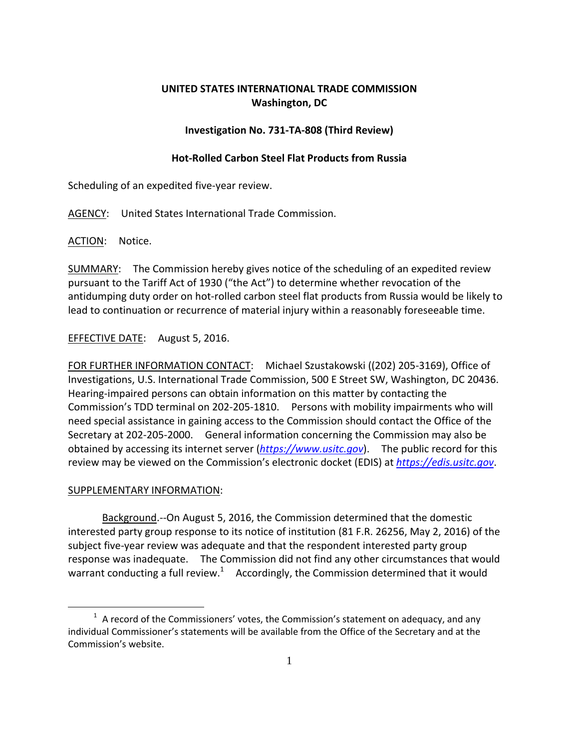## **UNITED STATES INTERNATIONAL TRADE COMMISSION Washington, DC**

## **Investigation No. 731‐TA‐808 (Third Review)**

## **Hot‐Rolled Carbon Steel Flat Products from Russia**

Scheduling of an expedited five‐year review.

AGENCY: United States International Trade Commission.

ACTION: Notice.

SUMMARY: The Commission hereby gives notice of the scheduling of an expedited review pursuant to the Tariff Act of 1930 ("the Act") to determine whether revocation of the antidumping duty order on hot‐rolled carbon steel flat products from Russia would be likely to lead to continuation or recurrence of material injury within a reasonably foreseeable time.

EFFECTIVE DATE: August 5, 2016.

FOR FURTHER INFORMATION CONTACT: Michael Szustakowski ((202) 205‐3169), Office of Investigations, U.S. International Trade Commission, 500 E Street SW, Washington, DC 20436. Hearing‐impaired persons can obtain information on this matter by contacting the Commission's TDD terminal on 202‐205‐1810. Persons with mobility impairments who will need special assistance in gaining access to the Commission should contact the Office of the Secretary at 202‐205‐2000. General information concerning the Commission may also be obtained by accessing its internet server (*https://www.usitc.gov*). The public record for this review may be viewed on the Commission's electronic docket (EDIS) at *https://edis.usitc.gov*.

## SUPPLEMENTARY INFORMATION:

 $\overline{a}$ 

Background.‐‐On August 5, 2016, the Commission determined that the domestic interested party group response to its notice of institution (81 F.R. 26256, May 2, 2016) of the subject five‐year review was adequate and that the respondent interested party group response was inadequate. The Commission did not find any other circumstances that would warrant conducting a full review.<sup>1</sup> Accordingly, the Commission determined that it would

 $<sup>1</sup>$  A record of the Commissioners' votes, the Commission's statement on adequacy, and any</sup> individual Commissioner's statements will be available from the Office of the Secretary and at the Commission's website.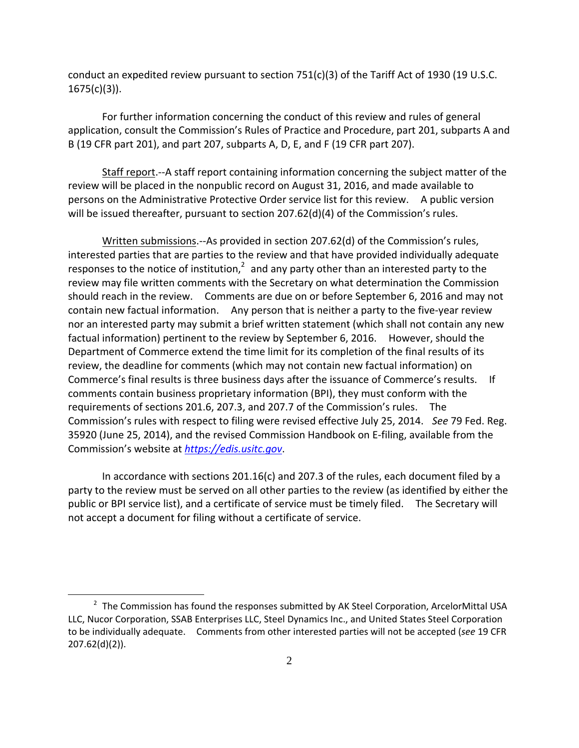conduct an expedited review pursuant to section  $751(c)(3)$  of the Tariff Act of 1930 (19 U.S.C.  $1675(c)(3)$ ).

For further information concerning the conduct of this review and rules of general application, consult the Commission's Rules of Practice and Procedure, part 201, subparts A and B (19 CFR part 201), and part 207, subparts A, D, E, and F (19 CFR part 207).

Staff report.‐‐A staff report containing information concerning the subject matter of the review will be placed in the nonpublic record on August 31, 2016, and made available to persons on the Administrative Protective Order service list for this review. A public version will be issued thereafter, pursuant to section 207.62(d)(4) of the Commission's rules.

Written submissions.--As provided in section 207.62(d) of the Commission's rules, interested parties that are parties to the review and that have provided individually adequate responses to the notice of institution, $2$  and any party other than an interested party to the review may file written comments with the Secretary on what determination the Commission should reach in the review. Comments are due on or before September 6, 2016 and may not contain new factual information. Any person that is neither a party to the five-year review nor an interested party may submit a brief written statement (which shall not contain any new factual information) pertinent to the review by September 6, 2016. However, should the Department of Commerce extend the time limit for its completion of the final results of its review, the deadline for comments (which may not contain new factual information) on Commerce's final results is three business days after the issuance of Commerce's results. If comments contain business proprietary information (BPI), they must conform with the requirements of sections 201.6, 207.3, and 207.7 of the Commission's rules. The Commission's rules with respect to filing were revised effective July 25, 2014. *See* 79 Fed. Reg. 35920 (June 25, 2014), and the revised Commission Handbook on E‐filing, available from the Commission's website at *https://edis.usitc.gov*.

In accordance with sections 201.16(c) and 207.3 of the rules, each document filed by a party to the review must be served on all other parties to the review (as identified by either the public or BPI service list), and a certificate of service must be timely filed. The Secretary will not accept a document for filing without a certificate of service.

1

 $2$  The Commission has found the responses submitted by AK Steel Corporation, ArcelorMittal USA LLC, Nucor Corporation, SSAB Enterprises LLC, Steel Dynamics Inc., and United States Steel Corporation to be individually adequate. Comments from other interested parties will not be accepted (*see* 19 CFR 207.62(d)(2)).